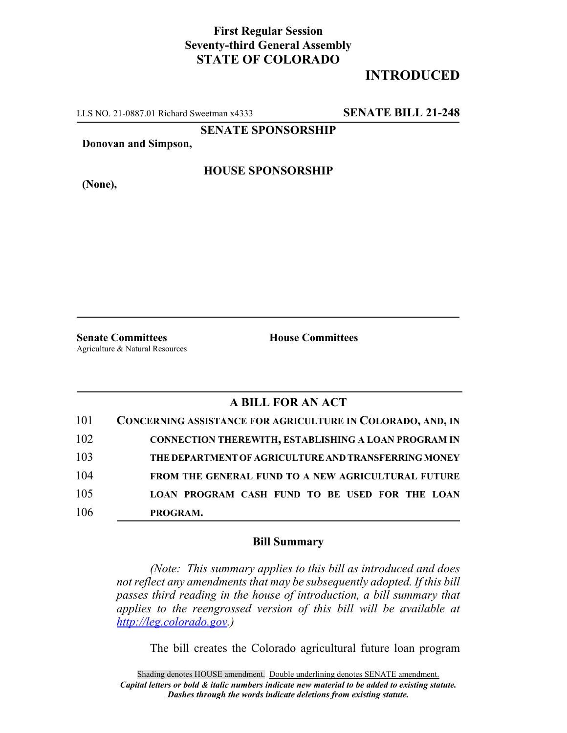## **First Regular Session Seventy-third General Assembly STATE OF COLORADO**

## **INTRODUCED**

LLS NO. 21-0887.01 Richard Sweetman x4333 **SENATE BILL 21-248**

**SENATE SPONSORSHIP**

**Donovan and Simpson,**

**HOUSE SPONSORSHIP**

**(None),**

**Senate Committees House Committees** Agriculture & Natural Resources

## **A BILL FOR AN ACT**

| 101 | CONCERNING ASSISTANCE FOR AGRICULTURE IN COLORADO, AND, IN  |
|-----|-------------------------------------------------------------|
| 102 | <b>CONNECTION THEREWITH, ESTABLISHING A LOAN PROGRAM IN</b> |
| 103 | THE DEPARTMENT OF AGRICULTURE AND TRANSFERRING MONEY        |
| 104 | <b>FROM THE GENERAL FUND TO A NEW AGRICULTURAL FUTURE</b>   |
| 105 | LOAN PROGRAM CASH FUND TO BE USED FOR THE LOAN              |
| 106 | PROGRAM.                                                    |

## **Bill Summary**

*(Note: This summary applies to this bill as introduced and does not reflect any amendments that may be subsequently adopted. If this bill passes third reading in the house of introduction, a bill summary that applies to the reengrossed version of this bill will be available at http://leg.colorado.gov.)*

The bill creates the Colorado agricultural future loan program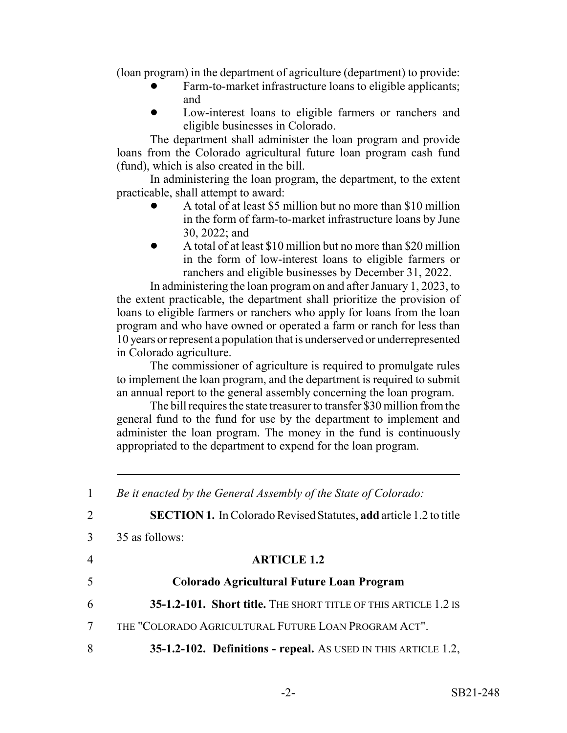(loan program) in the department of agriculture (department) to provide:

- Farm-to-market infrastructure loans to eligible applicants; and
- Low-interest loans to eligible farmers or ranchers and eligible businesses in Colorado.

The department shall administer the loan program and provide loans from the Colorado agricultural future loan program cash fund (fund), which is also created in the bill.

In administering the loan program, the department, to the extent practicable, shall attempt to award:

- ! A total of at least \$5 million but no more than \$10 million in the form of farm-to-market infrastructure loans by June 30, 2022; and
- A total of at least \$10 million but no more than \$20 million in the form of low-interest loans to eligible farmers or ranchers and eligible businesses by December 31, 2022.

In administering the loan program on and after January 1, 2023, to the extent practicable, the department shall prioritize the provision of loans to eligible farmers or ranchers who apply for loans from the loan program and who have owned or operated a farm or ranch for less than 10 years or represent a population that is underserved or underrepresented in Colorado agriculture.

The commissioner of agriculture is required to promulgate rules to implement the loan program, and the department is required to submit an annual report to the general assembly concerning the loan program.

The bill requires the state treasurer to transfer \$30 million from the general fund to the fund for use by the department to implement and administer the loan program. The money in the fund is continuously appropriated to the department to expend for the loan program.

| $\mathbf{1}$   | Be it enacted by the General Assembly of the State of Colorado:          |
|----------------|--------------------------------------------------------------------------|
| $\overline{2}$ | <b>SECTION 1.</b> In Colorado Revised Statutes, add article 1.2 to title |
| 3              | 35 as follows:                                                           |
| $\overline{4}$ | <b>ARTICLE 1.2</b>                                                       |
| 5              | Colorado Agricultural Future Loan Program                                |
| 6              | 35-1.2-101. Short title. THE SHORT TITLE OF THIS ARTICLE 1.2 IS          |
| $\tau$         | THE "COLORADO AGRICULTURAL FUTURE LOAN PROGRAM ACT".                     |
| 8              | 35-1.2-102. Definitions - repeal. As USED IN THIS ARTICLE 1.2,           |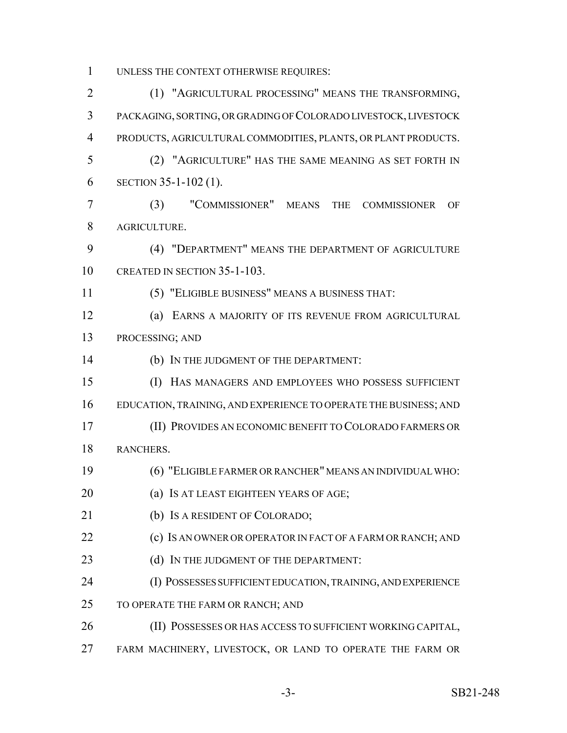UNLESS THE CONTEXT OTHERWISE REQUIRES:

 (1) "AGRICULTURAL PROCESSING" MEANS THE TRANSFORMING, PACKAGING, SORTING, OR GRADING OF COLORADO LIVESTOCK, LIVESTOCK PRODUCTS, AGRICULTURAL COMMODITIES, PLANTS, OR PLANT PRODUCTS. (2) "AGRICULTURE" HAS THE SAME MEANING AS SET FORTH IN SECTION 35-1-102 (1). (3) "COMMISSIONER" MEANS THE COMMISSIONER OF AGRICULTURE. (4) "DEPARTMENT" MEANS THE DEPARTMENT OF AGRICULTURE CREATED IN SECTION 35-1-103. (5) "ELIGIBLE BUSINESS" MEANS A BUSINESS THAT: (a) EARNS A MAJORITY OF ITS REVENUE FROM AGRICULTURAL PROCESSING; AND (b) IN THE JUDGMENT OF THE DEPARTMENT: (I) HAS MANAGERS AND EMPLOYEES WHO POSSESS SUFFICIENT EDUCATION, TRAINING, AND EXPERIENCE TO OPERATE THE BUSINESS; AND (II) PROVIDES AN ECONOMIC BENEFIT TO COLORADO FARMERS OR RANCHERS. (6) "ELIGIBLE FARMER OR RANCHER" MEANS AN INDIVIDUAL WHO: **(a) IS AT LEAST EIGHTEEN YEARS OF AGE;**  (b) IS A RESIDENT OF COLORADO; **(c) IS AN OWNER OR OPERATOR IN FACT OF A FARM OR RANCH; AND** 23 (d) IN THE JUDGMENT OF THE DEPARTMENT: (I) POSSESSES SUFFICIENT EDUCATION, TRAINING, AND EXPERIENCE 25 TO OPERATE THE FARM OR RANCH; AND (II) POSSESSES OR HAS ACCESS TO SUFFICIENT WORKING CAPITAL, FARM MACHINERY, LIVESTOCK, OR LAND TO OPERATE THE FARM OR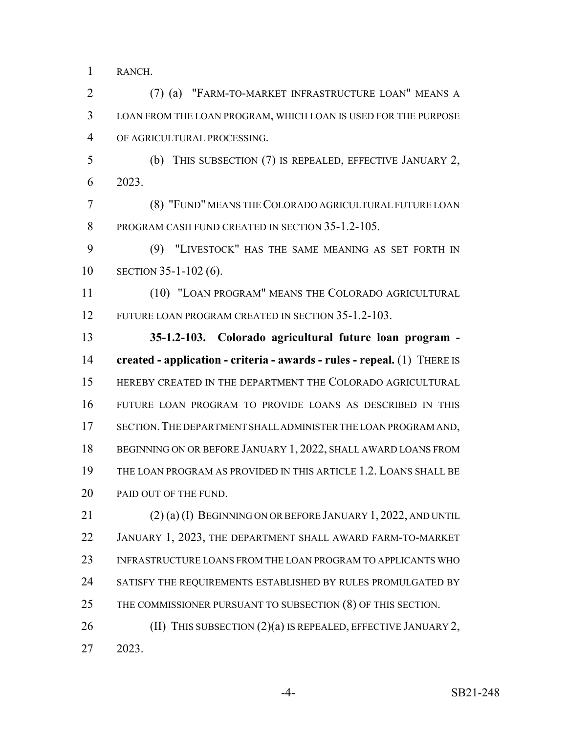RANCH.

 (7) (a) "FARM-TO-MARKET INFRASTRUCTURE LOAN" MEANS A LOAN FROM THE LOAN PROGRAM, WHICH LOAN IS USED FOR THE PURPOSE OF AGRICULTURAL PROCESSING.

 (b) THIS SUBSECTION (7) IS REPEALED, EFFECTIVE JANUARY 2, 2023.

 (8) "FUND" MEANS THE COLORADO AGRICULTURAL FUTURE LOAN PROGRAM CASH FUND CREATED IN SECTION 35-1.2-105.

 (9) "LIVESTOCK" HAS THE SAME MEANING AS SET FORTH IN SECTION 35-1-102 (6).

 (10) "LOAN PROGRAM" MEANS THE COLORADO AGRICULTURAL FUTURE LOAN PROGRAM CREATED IN SECTION 35-1.2-103.

 **35-1.2-103. Colorado agricultural future loan program - created - application - criteria - awards - rules - repeal.** (1) THERE IS HEREBY CREATED IN THE DEPARTMENT THE COLORADO AGRICULTURAL FUTURE LOAN PROGRAM TO PROVIDE LOANS AS DESCRIBED IN THIS SECTION.THE DEPARTMENT SHALL ADMINISTER THE LOAN PROGRAM AND, 18 BEGINNING ON OR BEFORE JANUARY 1, 2022, SHALL AWARD LOANS FROM THE LOAN PROGRAM AS PROVIDED IN THIS ARTICLE 1.2. LOANS SHALL BE 20 PAID OUT OF THE FUND.

 (2) (a) (I) BEGINNING ON OR BEFORE JANUARY 1, 2022, AND UNTIL JANUARY 1, 2023, THE DEPARTMENT SHALL AWARD FARM-TO-MARKET INFRASTRUCTURE LOANS FROM THE LOAN PROGRAM TO APPLICANTS WHO SATISFY THE REQUIREMENTS ESTABLISHED BY RULES PROMULGATED BY 25 THE COMMISSIONER PURSUANT TO SUBSECTION (8) OF THIS SECTION.

26 (II) THIS SUBSECTION (2)(a) IS REPEALED, EFFECTIVE JANUARY 2, 2023.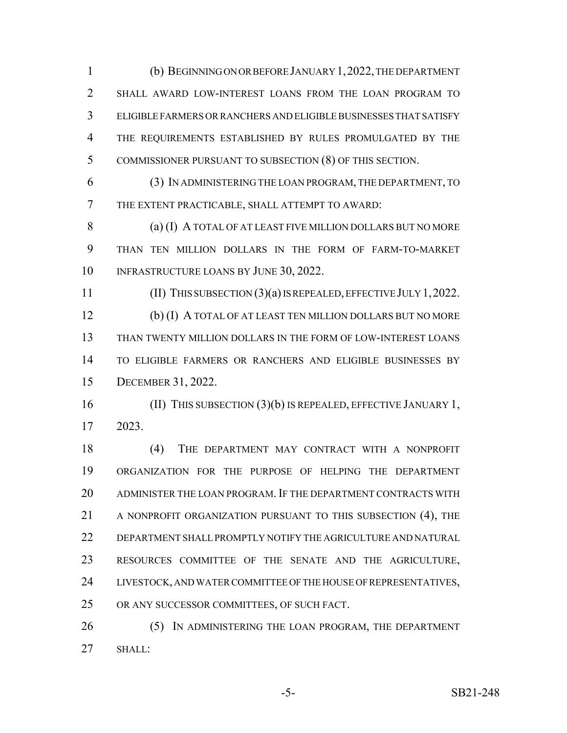(b) BEGINNING ON OR BEFORE JANUARY 1,2022, THE DEPARTMENT SHALL AWARD LOW-INTEREST LOANS FROM THE LOAN PROGRAM TO ELIGIBLE FARMERS OR RANCHERS AND ELIGIBLE BUSINESSES THAT SATISFY THE REQUIREMENTS ESTABLISHED BY RULES PROMULGATED BY THE COMMISSIONER PURSUANT TO SUBSECTION (8) OF THIS SECTION.

 (3) IN ADMINISTERING THE LOAN PROGRAM, THE DEPARTMENT, TO THE EXTENT PRACTICABLE, SHALL ATTEMPT TO AWARD:

 (a) (I) A TOTAL OF AT LEAST FIVE MILLION DOLLARS BUT NO MORE THAN TEN MILLION DOLLARS IN THE FORM OF FARM-TO-MARKET 10 INFRASTRUCTURE LOANS BY JUNE 30, 2022.

 (II) THIS SUBSECTION (3)(a) IS REPEALED, EFFECTIVE JULY 1,2022. (b) (I) A TOTAL OF AT LEAST TEN MILLION DOLLARS BUT NO MORE THAN TWENTY MILLION DOLLARS IN THE FORM OF LOW-INTEREST LOANS TO ELIGIBLE FARMERS OR RANCHERS AND ELIGIBLE BUSINESSES BY DECEMBER 31, 2022.

 (II) THIS SUBSECTION (3)(b) IS REPEALED, EFFECTIVE JANUARY 1, 2023.

18 (4) THE DEPARTMENT MAY CONTRACT WITH A NONPROFIT ORGANIZATION FOR THE PURPOSE OF HELPING THE DEPARTMENT ADMINISTER THE LOAN PROGRAM. IF THE DEPARTMENT CONTRACTS WITH 21 A NONPROFIT ORGANIZATION PURSUANT TO THIS SUBSECTION (4), THE DEPARTMENT SHALL PROMPTLY NOTIFY THE AGRICULTURE AND NATURAL RESOURCES COMMITTEE OF THE SENATE AND THE AGRICULTURE, LIVESTOCK, AND WATER COMMITTEE OF THE HOUSE OF REPRESENTATIVES, OR ANY SUCCESSOR COMMITTEES, OF SUCH FACT.

26 (5) IN ADMINISTERING THE LOAN PROGRAM, THE DEPARTMENT SHALL: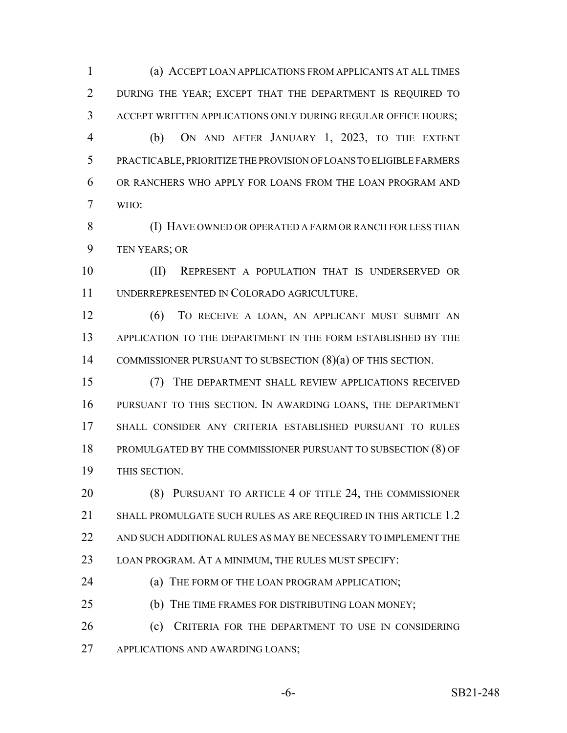(a) ACCEPT LOAN APPLICATIONS FROM APPLICANTS AT ALL TIMES DURING THE YEAR; EXCEPT THAT THE DEPARTMENT IS REQUIRED TO ACCEPT WRITTEN APPLICATIONS ONLY DURING REGULAR OFFICE HOURS; (b) ON AND AFTER JANUARY 1, 2023, TO THE EXTENT PRACTICABLE, PRIORITIZE THE PROVISION OF LOANS TO ELIGIBLE FARMERS OR RANCHERS WHO APPLY FOR LOANS FROM THE LOAN PROGRAM AND WHO:

 (I) HAVE OWNED OR OPERATED A FARM OR RANCH FOR LESS THAN TEN YEARS; OR

 (II) REPRESENT A POPULATION THAT IS UNDERSERVED OR UNDERREPRESENTED IN COLORADO AGRICULTURE.

 (6) TO RECEIVE A LOAN, AN APPLICANT MUST SUBMIT AN APPLICATION TO THE DEPARTMENT IN THE FORM ESTABLISHED BY THE COMMISSIONER PURSUANT TO SUBSECTION (8)(a) OF THIS SECTION.

 (7) THE DEPARTMENT SHALL REVIEW APPLICATIONS RECEIVED PURSUANT TO THIS SECTION. IN AWARDING LOANS, THE DEPARTMENT SHALL CONSIDER ANY CRITERIA ESTABLISHED PURSUANT TO RULES PROMULGATED BY THE COMMISSIONER PURSUANT TO SUBSECTION (8) OF THIS SECTION.

 (8) PURSUANT TO ARTICLE 4 OF TITLE 24, THE COMMISSIONER 21 SHALL PROMULGATE SUCH RULES AS ARE REQUIRED IN THIS ARTICLE 1.2 22 AND SUCH ADDITIONAL RULES AS MAY BE NECESSARY TO IMPLEMENT THE LOAN PROGRAM. AT A MINIMUM, THE RULES MUST SPECIFY:

**(a) THE FORM OF THE LOAN PROGRAM APPLICATION;** 

25 (b) THE TIME FRAMES FOR DISTRIBUTING LOAN MONEY;

 (c) CRITERIA FOR THE DEPARTMENT TO USE IN CONSIDERING APPLICATIONS AND AWARDING LOANS;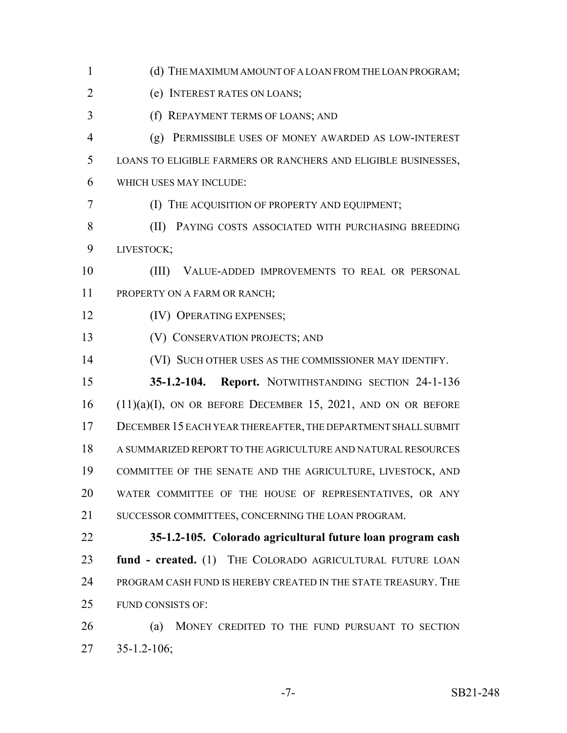1 (d) THE MAXIMUM AMOUNT OF A LOAN FROM THE LOAN PROGRAM; (e) INTEREST RATES ON LOANS; (f) REPAYMENT TERMS OF LOANS; AND (g) PERMISSIBLE USES OF MONEY AWARDED AS LOW-INTEREST LOANS TO ELIGIBLE FARMERS OR RANCHERS AND ELIGIBLE BUSINESSES, WHICH USES MAY INCLUDE: (I) THE ACQUISITION OF PROPERTY AND EQUIPMENT; 8 (II) PAYING COSTS ASSOCIATED WITH PURCHASING BREEDING LIVESTOCK; (III) VALUE-ADDED IMPROVEMENTS TO REAL OR PERSONAL 11 PROPERTY ON A FARM OR RANCH; **(IV) OPERATING EXPENSES;**  (V) CONSERVATION PROJECTS; AND (VI) SUCH OTHER USES AS THE COMMISSIONER MAY IDENTIFY. **35-1.2-104. Report.** NOTWITHSTANDING SECTION 24-1-136 (11)(a)(I), ON OR BEFORE DECEMBER 15, 2021, AND ON OR BEFORE DECEMBER 15 EACH YEAR THEREAFTER, THE DEPARTMENT SHALL SUBMIT A SUMMARIZED REPORT TO THE AGRICULTURE AND NATURAL RESOURCES COMMITTEE OF THE SENATE AND THE AGRICULTURE, LIVESTOCK, AND WATER COMMITTEE OF THE HOUSE OF REPRESENTATIVES, OR ANY SUCCESSOR COMMITTEES, CONCERNING THE LOAN PROGRAM. **35-1.2-105. Colorado agricultural future loan program cash fund - created.** (1) THE COLORADO AGRICULTURAL FUTURE LOAN PROGRAM CASH FUND IS HEREBY CREATED IN THE STATE TREASURY. THE FUND CONSISTS OF: (a) MONEY CREDITED TO THE FUND PURSUANT TO SECTION 35-1.2-106;